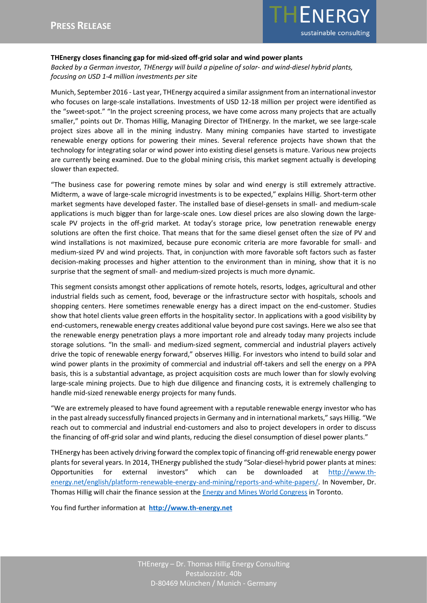

## **THEnergy closes financing gap for mid-sized off-grid solar and wind power plants**

*Backed by a German investor, THEnergy will build a pipeline of solar- and wind-diesel hybrid plants, focusing on USD 1-4 million investments per site*

Munich, September 2016 - Last year, THEnergy acquired a similar assignment from an international investor who focuses on large-scale installations. Investments of USD 12-18 million per project were identified as the "sweet-spot." "In the project screening process, we have come across many projects that are actually smaller," points out Dr. Thomas Hillig, Managing Director of THEnergy. In the market, we see large-scale project sizes above all in the mining industry. Many mining companies have started to investigate renewable energy options for powering their mines. Several reference projects have shown that the technology for integrating solar or wind power into existing diesel gensets is mature. Various new projects are currently being examined. Due to the global mining crisis, this market segment actually is developing slower than expected.

"The business case for powering remote mines by solar and wind energy is still extremely attractive. Midterm, a wave of large-scale microgrid investments is to be expected," explains Hillig. Short-term other market segments have developed faster. The installed base of diesel-gensets in small- and medium-scale applications is much bigger than for large-scale ones. Low diesel prices are also slowing down the largescale PV projects in the off-grid market. At today's storage price, low penetration renewable energy solutions are often the first choice. That means that for the same diesel genset often the size of PV and wind installations is not maximized, because pure economic criteria are more favorable for small- and medium-sized PV and wind projects. That, in conjunction with more favorable soft factors such as faster decision-making processes and higher attention to the environment than in mining, show that it is no surprise that the segment of small- and medium-sized projects is much more dynamic.

This segment consists amongst other applications of remote hotels, resorts, lodges, agricultural and other industrial fields such as cement, food, beverage or the infrastructure sector with hospitals, schools and shopping centers. Here sometimes renewable energy has a direct impact on the end-customer. Studies show that hotel clients value green efforts in the hospitality sector. In applications with a good visibility by end-customers, renewable energy creates additional value beyond pure cost savings. Here we also see that the renewable energy penetration plays a more important role and already today many projects include storage solutions. "In the small- and medium-sized segment, commercial and industrial players actively drive the topic of renewable energy forward," observes Hillig. For investors who intend to build solar and wind power plants in the proximity of commercial and industrial off-takers and sell the energy on a PPA basis, this is a substantial advantage, as project acquisition costs are much lower than for slowly evolving large-scale mining projects. Due to high due diligence and financing costs, it is extremely challenging to handle mid-sized renewable energy projects for many funds.

"We are extremely pleased to have found agreement with a reputable renewable energy investor who has in the past already successfully financed projects in Germany and in international markets," says Hillig. "We reach out to commercial and industrial end-customers and also to project developers in order to discuss the financing of off-grid solar and wind plants, reducing the diesel consumption of diesel power plants."

THEnergy has been actively driving forward the complex topic of financing off-grid renewable energy power plants for several years. In 2014, THEnergy published the study "Solar-diesel-hybrid power plants at mines: Opportunities for external investors" which can be downloaded at [http://www.th](http://www.th-energy.net/english/platform-renewable-energy-and-mining/reports-and-white-papers/)[energy.net/english/platform-renewable-energy-and-mining/reports-and-white-papers/.](http://www.th-energy.net/english/platform-renewable-energy-and-mining/reports-and-white-papers/) In November, Dr. Thomas Hillig will chair the finance session at th[e Energy and Mines World Congress](http://worldcongress.energyandmines.com/) in Toronto.

You find further information at **[http://www.th-energy.net](http://www.th-energy.net/)**